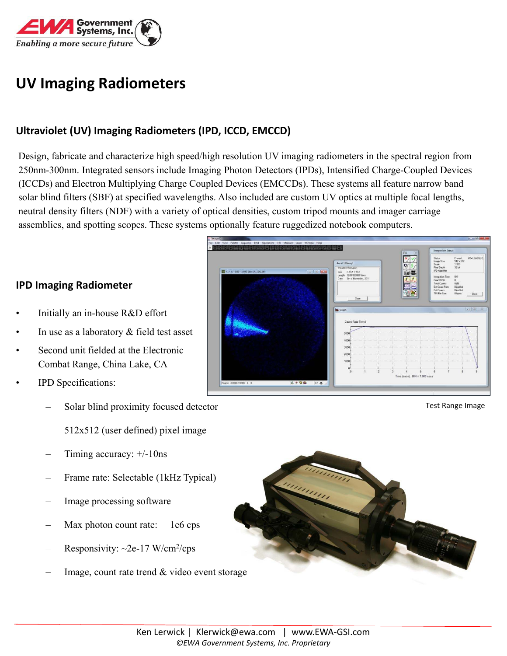

# **UV Imaging Radiometers**

## **Ultraviolet (UV) Imaging Radiometers (IPD, ICCD, EMCCD)**

Design, fabricate and characterize high speed/high resolution UV imaging radiometers in the spectral region from 250nm-300nm. Integrated sensors include Imaging Photon Detectors (IPDs), Intensified Charge-Coupled Devices (ICCDs) and Electron Multiplying Charge Coupled Devices (EMCCDs). These systems all feature narrow band solar blind filters (SBF) at specified wavelengths. Also included are custom UV optics at multiple focal lengths, neutral density filters (NDF) with a variety of optical densities, custom tripod mounts and imager carriage assemblies, and spotting scopes. These systems optionally feature ruggedized notebook computers.

#### **IPD Imaging Radiometer**

- Initially an in-house R&D effort
- In use as a laboratory  $&$  field test asset
- Second unit fielded at the Electronic Combat Range, China Lake, CA
- IPD Specifications:
	- Solar blind proximity focused detector
	- $512x512$  (user defined) pixel image
	- Timing accuracy:  $+/-10$ ns
	- Frame rate: Selectable (1kHz Typical)
	- Image processing software
	- Max photon count rate: 1e6 cps
	- Responsivity: ~2e-17 W/cm<sup>2</sup>/cps
	- Image, count rate trend & video event storage



Test Range Image